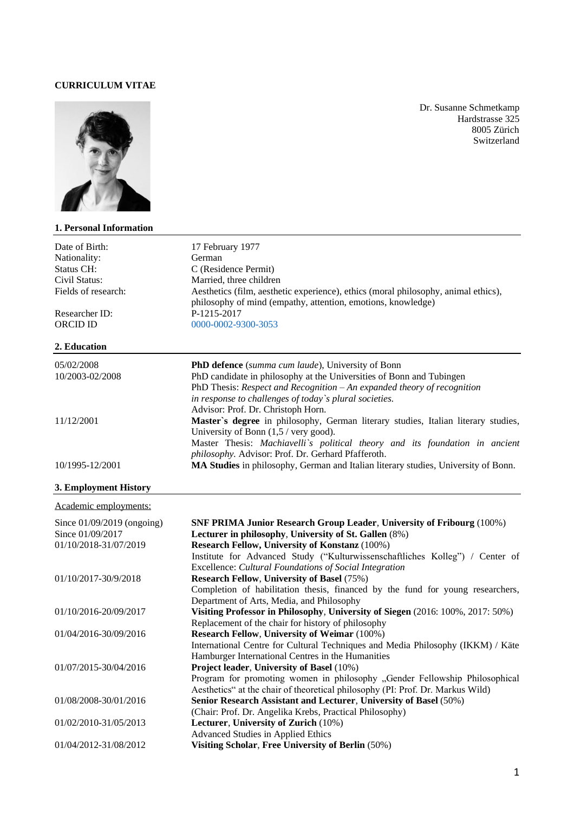#### **CURRICULUM VITAE**



### **1. Personal Information**

Dr. Susanne Schmetkamp Hardstrasse 325 8005 Zürich Switzerland

| Date of Birth:        | 17 February 1977                                                                                                                                   |
|-----------------------|----------------------------------------------------------------------------------------------------------------------------------------------------|
| Nationality:          | German                                                                                                                                             |
| Status CH:            | C (Residence Permit)                                                                                                                               |
| Civil Status:         | Married, three children                                                                                                                            |
| Fields of research:   | Aesthetics (film, aesthetic experience), ethics (moral philosophy, animal ethics),<br>philosophy of mind (empathy, attention, emotions, knowledge) |
| Researcher ID:        | P-1215-2017                                                                                                                                        |
| <b>ORCID ID</b>       | 0000-0002-9300-3053                                                                                                                                |
| 2. Education          |                                                                                                                                                    |
| 05/02/2008            | <b>PhD defence</b> (summa cum laude), University of Bonn                                                                                           |
| 10/2003-02/2008       | PhD candidate in philosophy at the Universities of Bonn and Tubingen                                                                               |
|                       | PhD Thesis: Respect and Recognition $-An$ expanded theory of recognition                                                                           |
|                       | in response to challenges of today's plural societies.                                                                                             |
|                       | Advisor: Prof. Dr. Christoph Horn.                                                                                                                 |
| 11/12/2001            | Master's degree in philosophy, German literary studies, Italian literary studies,                                                                  |
|                       | University of Bonn $(1,5 / \text{very good})$ .                                                                                                    |
|                       | Master Thesis: Machiavelli's political theory and its foundation in ancient                                                                        |
|                       | philosophy. Advisor: Prof. Dr. Gerhard Pfafferoth.                                                                                                 |
| 10/1995-12/2001       | MA Studies in philosophy, German and Italian literary studies, University of Bonn.                                                                 |
| 3. Employment History |                                                                                                                                                    |

# Academic employments:

| Since $01/09/2019$ (ongoing)<br>Since 01/09/2017 | <b>SNF PRIMA Junior Research Group Leader, University of Fribourg (100%)</b><br>Lecturer in philosophy, University of St. Gallen (8%) |
|--------------------------------------------------|---------------------------------------------------------------------------------------------------------------------------------------|
| 01/10/2018-31/07/2019                            | <b>Research Fellow, University of Konstanz (100%)</b>                                                                                 |
|                                                  | Institute for Advanced Study ("Kulturwissenschaftliches Kolleg") / Center of                                                          |
|                                                  | Excellence: Cultural Foundations of Social Integration                                                                                |
| 01/10/2017-30/9/2018                             | <b>Research Fellow, University of Basel (75%)</b>                                                                                     |
|                                                  | Completion of habilitation thesis, financed by the fund for young researchers,                                                        |
|                                                  | Department of Arts, Media, and Philosophy                                                                                             |
| 01/10/2016-20/09/2017                            | Visiting Professor in Philosophy, University of Siegen (2016: 100%, 2017: 50%)                                                        |
|                                                  | Replacement of the chair for history of philosophy                                                                                    |
| 01/04/2016-30/09/2016                            | <b>Research Fellow, University of Weimar (100%)</b>                                                                                   |
|                                                  | International Centre for Cultural Techniques and Media Philosophy (IKKM) / Käte                                                       |
|                                                  | Hamburger International Centres in the Humanities                                                                                     |
| 01/07/2015-30/04/2016                            | Project leader, University of Basel (10%)                                                                                             |
|                                                  | Program for promoting women in philosophy "Gender Fellowship Philosophical                                                            |
|                                                  | Aesthetics" at the chair of theoretical philosophy (PI: Prof. Dr. Markus Wild)                                                        |
| 01/08/2008-30/01/2016                            | Senior Research Assistant and Lecturer, University of Basel (50%)                                                                     |
|                                                  | (Chair: Prof. Dr. Angelika Krebs, Practical Philosophy)                                                                               |
| 01/02/2010-31/05/2013                            | Lecturer, University of Zurich (10%)                                                                                                  |
|                                                  | Advanced Studies in Applied Ethics                                                                                                    |
| 01/04/2012-31/08/2012                            | Visiting Scholar, Free University of Berlin (50%)                                                                                     |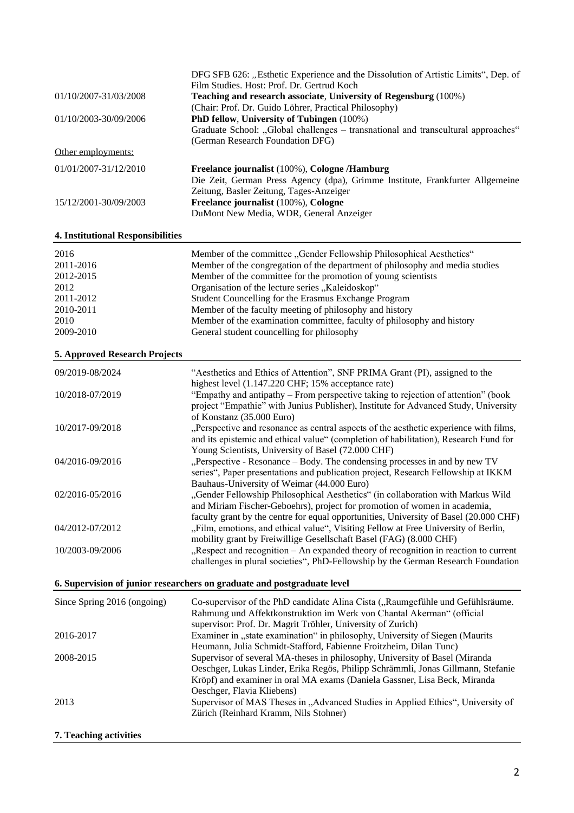|                       | DFG SFB 626: "Esthetic Experience and the Dissolution of Artistic Limits", Dep. of<br>Film Studies, Host: Prof. Dr. Gertrud Koch |
|-----------------------|----------------------------------------------------------------------------------------------------------------------------------|
| 01/10/2007-31/03/2008 | Teaching and research associate, University of Regensburg (100%)                                                                 |
| 01/10/2003-30/09/2006 | (Chair: Prof. Dr. Guido Löhrer, Practical Philosophy)<br>PhD fellow, University of Tubingen (100%)                               |
|                       | Graduate School: "Global challenges – transnational and transcultural approaches"<br>(German Research Foundation DFG)            |
| Other employments:    |                                                                                                                                  |
| 01/01/2007-31/12/2010 | Freelance journalist (100%), Cologne /Hamburg<br>Die Zeit, German Press Agency (dpa), Grimme Institute, Frankfurter Allgemeine   |
| 15/12/2001-30/09/2003 | Zeitung, Basler Zeitung, Tages-Anzeiger<br>Freelance journalist (100%), Cologne<br>DuMont New Media, WDR, General Anzeiger       |

# **4. Institutional Responsibilities**

| 2016      | Member of the committee "Gender Fellowship Philosophical Aesthetics"         |
|-----------|------------------------------------------------------------------------------|
| 2011-2016 | Member of the congregation of the department of philosophy and media studies |
| 2012-2015 | Member of the committee for the promotion of young scientists                |
| 2012      | Organisation of the lecture series "Kaleidoskop"                             |
| 2011-2012 | Student Councelling for the Erasmus Exchange Program                         |
| 2010-2011 | Member of the faculty meeting of philosophy and history                      |
| 2010      | Member of the examination committee, faculty of philosophy and history       |
| 2009-2010 | General student councelling for philosophy                                   |

# **5. Approved Research Projects**

| 09/2019-08/2024                                                         | "Aesthetics and Ethics of Attention", SNF PRIMA Grant (PI), assigned to the                                                                                                                                                                       |
|-------------------------------------------------------------------------|---------------------------------------------------------------------------------------------------------------------------------------------------------------------------------------------------------------------------------------------------|
| 10/2018-07/2019                                                         | highest level (1.147.220 CHF; 15% acceptance rate)<br>"Empathy and antipathy – From perspective taking to rejection of attention" (book<br>project "Empathie" with Junius Publisher), Institute for Advanced Study, University                    |
| 10/2017-09/2018                                                         | of Konstanz (35.000 Euro)<br>"Perspective and resonance as central aspects of the aesthetic experience with films,<br>and its epistemic and ethical value" (completion of habilitation), Research Fund for                                        |
| 04/2016-09/2016                                                         | Young Scientists, University of Basel (72.000 CHF)<br>"Perspective - Resonance – Body. The condensing processes in and by new TV<br>series", Paper presentations and publication project, Research Fellowship at IKKM                             |
| 02/2016-05/2016                                                         | Bauhaus-University of Weimar (44.000 Euro)<br>"Gender Fellowship Philosophical Aesthetics" (in collaboration with Markus Wild<br>and Miriam Fischer-Geboehrs), project for promotion of women in academia,                                        |
| 04/2012-07/2012                                                         | faculty grant by the centre for equal opportunities, University of Basel (20.000 CHF)<br>"Film, emotions, and ethical value", Visiting Fellow at Free University of Berlin,<br>mobility grant by Freiwillige Gesellschaft Basel (FAG) (8.000 CHF) |
| 10/2003-09/2006                                                         | "Respect and recognition – An expanded theory of recognition in reaction to current<br>challenges in plural societies", PhD-Fellowship by the German Research Foundation                                                                          |
| 6. Supervision of junior researchers on graduate and postgraduate level |                                                                                                                                                                                                                                                   |

| Since Spring 2016 (ongoing) | Co-supervisor of the PhD candidate Alina Cista ("Raumgefühle und Gefühlsräume.   |
|-----------------------------|----------------------------------------------------------------------------------|
|                             | Rahmung und Affektkonstruktion im Werk von Chantal Akerman" (official            |
|                             | supervisor: Prof. Dr. Magrit Tröhler, University of Zurich)                      |
| 2016-2017                   | Examiner in "state examination" in philosophy, University of Siegen (Maurits     |
|                             | Heumann, Julia Schmidt-Stafford, Fabienne Froitzheim, Dilan Tunc)                |
| 2008-2015                   | Supervisor of several MA-theses in philosophy, University of Basel (Miranda      |
|                             | Oeschger, Lukas Linder, Erika Regös, Philipp Schrämmli, Jonas Gillmann, Stefanie |
|                             | Kröpf) and examiner in oral MA exams (Daniela Gassner, Lisa Beck, Miranda        |
|                             | Oeschger, Flavia Kliebens)                                                       |
| 2013                        | Supervisor of MAS Theses in "Advanced Studies in Applied Ethics", University of  |
|                             | Zürich (Reinhard Kramm, Nils Stohner)                                            |
|                             |                                                                                  |

### **7. Teaching activities**